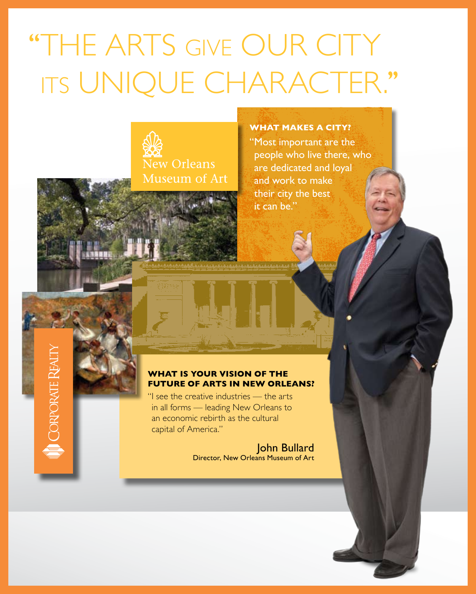# "THE ARTS GIVE OUR CITY its unique character.''



#### **What makes a city?**

"Most important are the people who live there, who are dedicated and loyal and work to make their city the best it can be."

### **What is your vision of the future of arts in New Orleans?**

"I see the creative industries — the arts in all forms — leading New Orleans to an economic rebirth as the cultural capital of America."

**CORPORATE** 

John Bullard Director, New Orleans Museum of Art